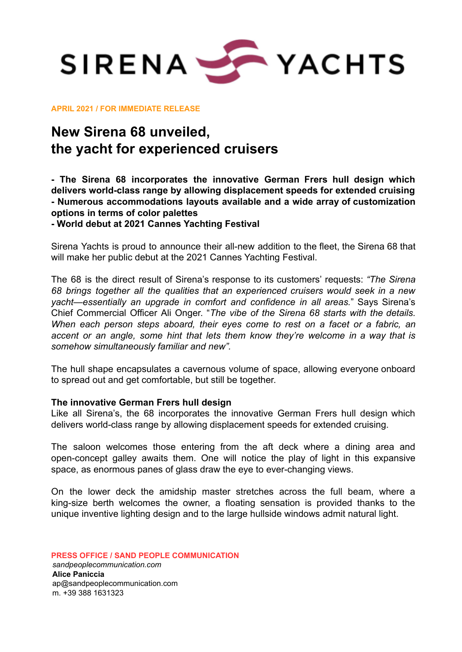

**APRIL 2021 / FOR IMMEDIATE RELEASE**

## **New Sirena 68 unveiled, the yacht for experienced cruisers**

**- The Sirena 68 incorporates the innovative German Frers hull design which delivers world-class range by allowing displacement speeds for extended cruising - Numerous accommodations layouts available and a wide array of customization options in terms of color palettes**

**- World debut at 2021 Cannes Yachting Festival**

Sirena Yachts is proud to announce their all-new addition to the fleet, the Sirena 68 that will make her public debut at the 2021 Cannes Yachting Festival.

The 68 is the direct result of Sirena's response to its customers' requests: *"The Sirena 68 brings together all the qualities that an experienced cruisers would seek in a new yacht—essentially an upgrade in comfort and confidence in all areas.*" Says Sirena's Chief Commercial Officer Ali Onger. "*The vibe of the Sirena 68 starts with the details. When each person steps aboard, their eyes come to rest on a facet or a fabric, an accent or an angle, some hint that lets them know they're welcome in a way that is somehow simultaneously familiar and new".*

The hull shape encapsulates a cavernous volume of space, allowing everyone onboard to spread out and get comfortable, but still be together.

## **The innovative German Frers hull design**

Like all Sirena's, the 68 incorporates the innovative German Frers hull design which delivers world-class range by allowing displacement speeds for extended cruising.

The saloon welcomes those entering from the aft deck where a dining area and open-concept galley awaits them. One will notice the play of light in this expansive space, as enormous panes of glass draw the eye to ever-changing views.

On the lower deck the amidship master stretches across the full beam, where a king-size berth welcomes the owner, a floating sensation is provided thanks to the unique inventive lighting design and to the large hullside windows admit natural light.

**PRESS OFFICE / SAND PEOPLE COMMUNICATION** *sandpeoplecommunication.com* **Alice Paniccia** [ap@sandpeoplecommunication.com](mailto:ap@sandpeoplecommunication.com) m. +39 388 1631323